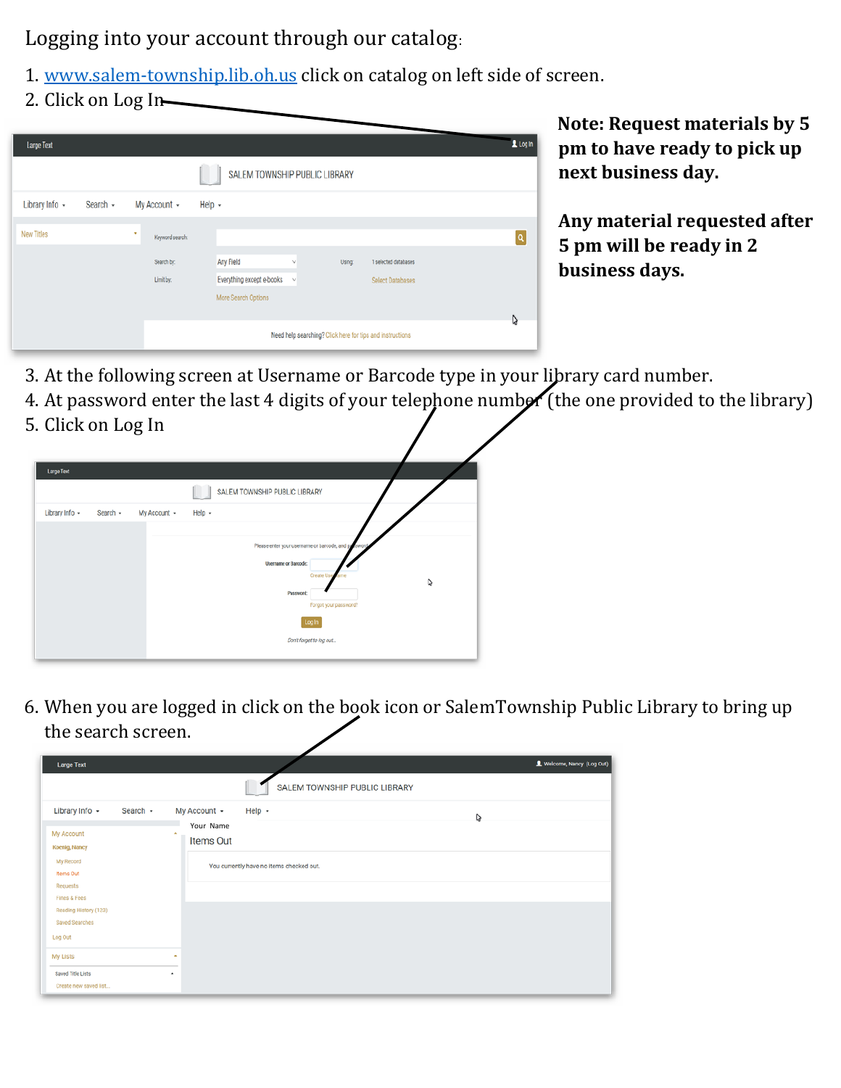Logging into your account through our catalog:

- 1. [www.salem-township.lib.oh.us](http://www.salem-township.lib.oh.us/) click on catalog on left side of screen.
- 2. Click on Log In

| <b>Large Text</b>             |          |                         |                                                                                                                                    | $1$ Log in |  |  |
|-------------------------------|----------|-------------------------|------------------------------------------------------------------------------------------------------------------------------------|------------|--|--|
| SALEM TOWNSHIP PUBLIC LIBRARY |          |                         |                                                                                                                                    |            |  |  |
| Library Info +                | Search - | My Account +            | Help $\sim$                                                                                                                        |            |  |  |
| <b>New Titles</b>             |          | ٠<br>Keyword search:    |                                                                                                                                    | Q          |  |  |
|                               |          | Search by:<br>Limit by: | Any Field<br>Using:<br>1 selected databases<br>v<br>Everything except e-books<br>Select Databases<br>$\vee$<br>More Search Options |            |  |  |
|                               |          |                         | Need help searching? Click here for tips and instructions                                                                          | D          |  |  |

**Note: Request materials by 5 pm to have ready to pick up next business day.** 

**Any material requested after 5 pm will be ready in 2 business days.** 

- 3. At the following screen at Username or Barcode type in your library card number.
- 4. At password enter the last 4 digits of your telephone number (the one provided to the library) 5. Click on Log In

| <b>Large Text</b> |          |              |                                                                                                                                                                                    |   |
|-------------------|----------|--------------|------------------------------------------------------------------------------------------------------------------------------------------------------------------------------------|---|
|                   |          |              | SALEM TOWNSHIP PUBLIC LIBRARY                                                                                                                                                      |   |
| Library Info +    | Search + | My Account + | $Help -$                                                                                                                                                                           |   |
|                   |          |              | Please enter your username or barcode, and paraword<br><b>Username or Barcode:</b><br><b>Create Use</b><br>Password:<br>Forgot your password?<br>Log In<br>Don't forget to log out | D |

6. When you are logged in click on the book icon or SalemTownship Public Library to bring up the search screen.

| <b>Large Text</b>                                                  |                                                                        | L Welcome, Nancy (Log Out) |
|--------------------------------------------------------------------|------------------------------------------------------------------------|----------------------------|
|                                                                    | SALEM TOWNSHIP PUBLIC LIBRARY                                          |                            |
| Library Info +<br>Search $\sim$<br>My Account                      | My Account +<br>Help $\sim$<br>D<br>Your Name<br><b>A</b><br>Items Out |                            |
| Koenig, Nancy<br>My Record<br><b>Items Out</b><br>Requests         | You currently have no items checked out.                               |                            |
| <b>Fines &amp; Fees</b><br>Reading History (123)<br>Saved Searches |                                                                        |                            |
| Log Out<br>My Lists                                                | $\hat{\phantom{a}}$                                                    |                            |
| Saved Title Lists<br>Create new saved list                         | $\hat{\phantom{a}}$                                                    |                            |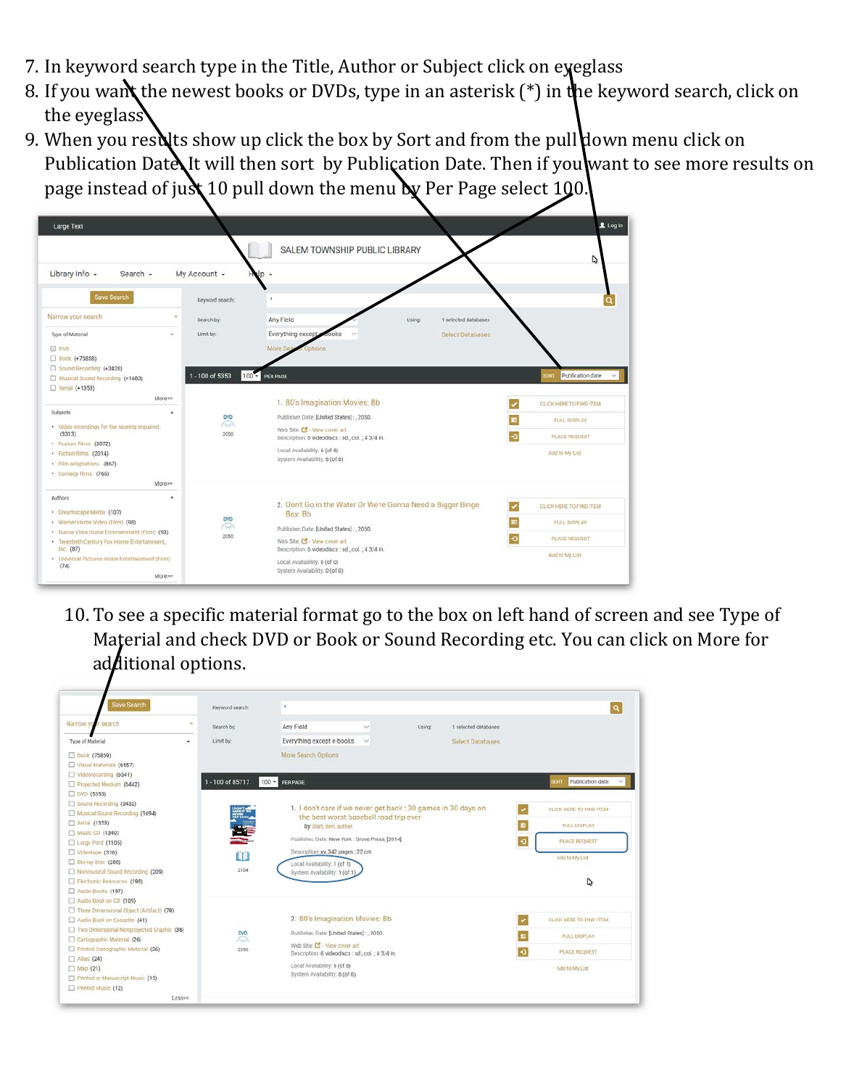- 7. In keyword search type in the Title, Author or Subject click on eyeglass
- 8. If you want the newest books or DVDs, type in an asterisk (\*) in the keyword search, click on the eyeglass
- 9. When you results show up click the box by Sort and from the pull down menu click on Publication Date It will then sort by Publication Date. Then if you want to see more results on page instead of just 10 pull down the menu by Per Page select 100.

| <b>Large Text</b>                                                                                                                                                                                                                                                                                                                                                                                      |                                                                                                              | SALEM TOWNSHIP PUBLIC LIBRARY                                                                                                                                                                                                                                                                                                                                                            | 1 Log In<br>D                                                                                                                               |
|--------------------------------------------------------------------------------------------------------------------------------------------------------------------------------------------------------------------------------------------------------------------------------------------------------------------------------------------------------------------------------------------------------|--------------------------------------------------------------------------------------------------------------|------------------------------------------------------------------------------------------------------------------------------------------------------------------------------------------------------------------------------------------------------------------------------------------------------------------------------------------------------------------------------------------|---------------------------------------------------------------------------------------------------------------------------------------------|
| Library Info -<br>Search -<br>Save Search<br>Narrow your search<br>Type of Material<br>à.<br><b>DVD</b><br>□ Book (+75858)<br>Sound Recording (+3420)<br>Musical Sound Recording (+1683)<br>Serial (+1353)<br>More>><br>Subjects<br>· Video recordings for the hearing impaired.<br>(3313)<br>· Feature films. (3072)<br>· Fiction films. (2014)<br>· Film adaptations. (867)<br>· Comedy films. (765) | My Account -<br>Keyword search:<br>Search by:<br>Limit by:<br>1 - 100 of 5353<br><b>DVD</b><br>fred.<br>2050 | $\mathsf{p}$ -<br>Any Field<br>Using<br>1 selected databases<br>Everything except<br><b>Select Databases</b><br>More Se<br>collot<br>$100 - PER PAGE$<br>1. 80's Imagination Movies: Bb<br>Publisher, Date: [United States]:, 2050.<br>Web Site: C - View cover art<br>Description: 6 videodiscs : sd., col.; 4 3/4 in.<br>Local Availability: 6 (of 6)<br>System Availability: 6 (of 6) | Publication date<br>SORT<br>$\checkmark$<br>CLICK HERE TO FIND ITEM.<br><b>FULL DISPLAY</b><br>۰a<br><b>PLACE REQUEST</b><br>Add to My List |
| More>><br>$\Delta$<br>Authors<br>· Dreamscape Media (107)<br>· Warner Horne Video (Firm) (98)<br>· Buena Vista Home Entertainment (Firm) (93)<br>· Twentieth Century Fox Home Entertainment,<br>Inc. (87)<br>· Universal Pictures Home Entertainment (Firm)<br>(74)<br>More>>                                                                                                                          | <b>DVD</b><br>ſЭ.<br>2050                                                                                    | 2. Don't Go in the Water Or We're Gonna Need a Bigger Binge<br>Box: Bb<br>Publisher, Date: [United States]:, 2050.<br>Web Site: [5 - View cover art<br>Description: 6 videodiscs : sd., col.; 4 3/4 in.<br>Local Availability: 0 (of 0)<br>System Availability. 0 (of 0)                                                                                                                 | $\overline{\phantom{a}}$<br>CLICK HERE TO FIND ITEM<br><b>FULL DISPLAY</b><br>Ð<br>PLACE REQUEST<br>Add to My List                          |

10. To see a specific material format go to the box on left hand of screen and see Type of Material and check DVD or Book or Sound Recording etc. You can click on More for additional options.

| Save Search                               | Keyword search:      | ٠                                                                                                                                      |                              |                         |           | $\alpha$                       |
|-------------------------------------------|----------------------|----------------------------------------------------------------------------------------------------------------------------------------|------------------------------|-------------------------|-----------|--------------------------------|
| Narrow y<br>search                        | $\sim$<br>Search by: | Any Field<br>$\sim$                                                                                                                    | Using:                       | 1 selected databases    |           |                                |
| Type of Material                          | Limit by:<br>٠       | Everything except e-books<br>$\checkmark$                                                                                              |                              | <b>Select Databases</b> |           |                                |
| □ Book (75859)                            |                      | More Search Options                                                                                                                    |                              |                         |           |                                |
| Visual Materials (6557)                   |                      |                                                                                                                                        |                              |                         |           |                                |
| Videorecording (6541)                     |                      |                                                                                                                                        |                              |                         |           |                                |
| Projected Medium (6442)                   | 1-100 of 85717       | $100 - PER PAGE$                                                                                                                       |                              |                         |           | spart Publication date         |
| DVD (5353)                                |                      |                                                                                                                                        |                              |                         |           |                                |
| Sound Recording (3432)                    |                      |                                                                                                                                        |                              |                         |           |                                |
| Munical Sound Recording (1694)            |                      | 1. I don't care if we never get back : 30 games in 30 days on<br>the best worst baseball road trip ever<br>靊<br>by Blatt, Ben, author. |                              |                         |           | <b>CLICK HERE TO FIND ITEM</b> |
| □ Serial (1353)                           |                      |                                                                                                                                        |                              |                         |           | FULL DISPLAY                   |
| Music CD (1340)                           |                      |                                                                                                                                        |                              |                         |           |                                |
| □ Large Print (1105)                      |                      | Publisher, Date: New York : Grove Press, [2014]<br>$\bullet$<br>Description: xv, 342 pages ; 22 cm<br>m                                |                              |                         |           | <b>PLACE REQUEST</b>           |
| $\Box$ Videotape (316)                    |                      |                                                                                                                                        |                              |                         |           |                                |
| Blu-ray Disc (288)                        |                      | Local Availability: 1 (of 1)                                                                                                           |                              |                         |           | Add to My List                 |
| Nonmusical Sound Recording (209)          | 2104                 | System Availability: 1 (of 1)                                                                                                          |                              |                         |           |                                |
| Electronic Resources (198)                |                      |                                                                                                                                        |                              |                         |           | D                              |
| Audio Books (197)                         |                      |                                                                                                                                        |                              |                         |           |                                |
| Audio Book on CD (109)                    |                      |                                                                                                                                        |                              |                         |           |                                |
| Three Dimensional Object (Artifact) (79)  |                      |                                                                                                                                        |                              |                         |           |                                |
| Audio Book on Cassette (41)               |                      | 2. 80's Imagination Movies: Bb                                                                                                         |                              |                         |           | CLICK HERE TO FIND ITEM.       |
| Two Dimensional Nonprojected Graphic (36) | <b>DVD</b>           | Publisher, Date: [United States]: , 2050.                                                                                              |                              |                         | 畫         |                                |
| Carlographic Material (26)                | Faith                |                                                                                                                                        | Web Site: C - View cover art |                         |           | <b>FULL DISPLAY</b>            |
| Printed Cartographic Material (26)        | 2050                 | Description: 6 videodiscs : sd., col.; 4 3/4 in.                                                                                       |                              |                         |           | <b>PLACE REQUEST</b>           |
| $\Box$ Atlas (24)                         |                      |                                                                                                                                        |                              |                         | $\bullet$ |                                |
| Map(21)                                   |                      |                                                                                                                                        | Local Availability: 6 (of 6) |                         |           | Add to My List                 |
| Printed or Manuscript Music (13)          |                      | System Availability: 6 (of 6)                                                                                                          |                              |                         |           |                                |
| Printed Music (12)                        |                      |                                                                                                                                        |                              |                         |           |                                |
| Less«                                     |                      |                                                                                                                                        |                              |                         |           |                                |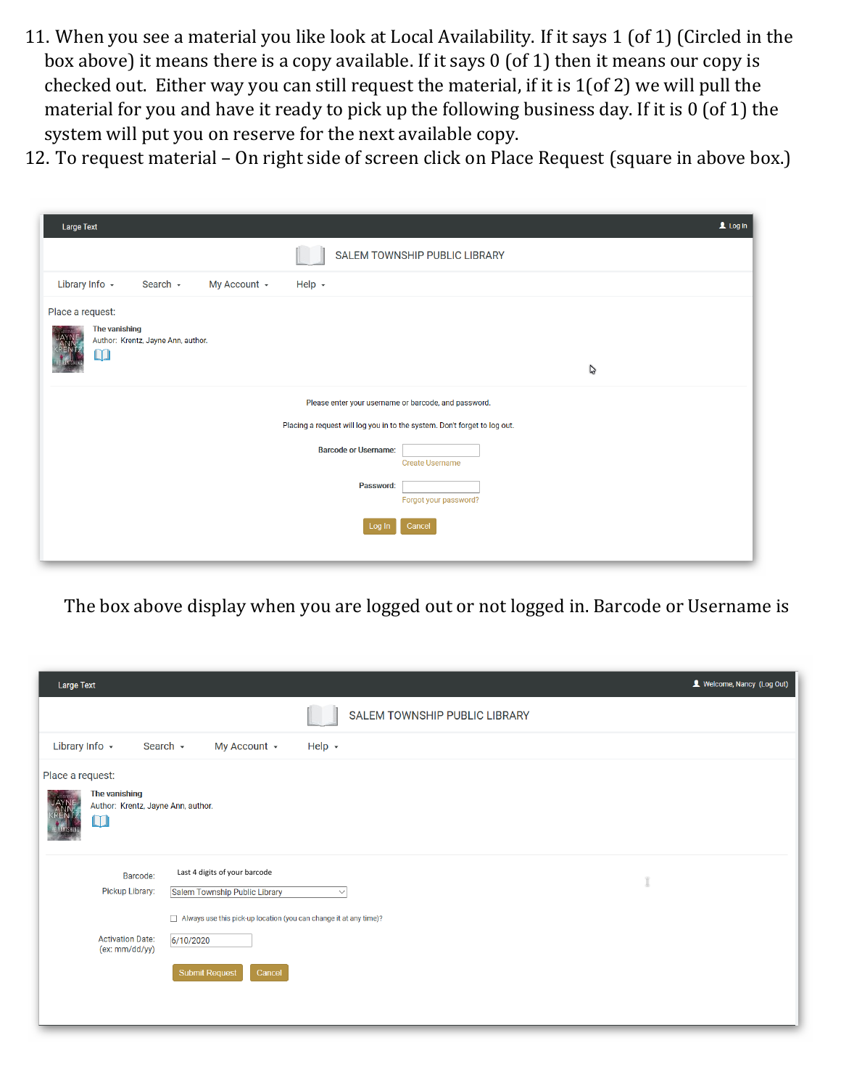- 11. When you see a material you like look at Local Availability. If it says 1 (of 1) (Circled in the box above) it means there is a copy available. If it says 0 (of 1) then it means our copy is checked out. Either way you can still request the material, if it is 1(of 2) we will pull the material for you and have it ready to pick up the following business day. If it is 0 (of 1) the system will put you on reserve for the next available copy.
- 12. To request material On right side of screen click on Place Request (square in above box.)

| <b>Large Text</b>                                                                 |                             |                                                                           | $\mathbf 1$ Log In |  |  |  |  |  |
|-----------------------------------------------------------------------------------|-----------------------------|---------------------------------------------------------------------------|--------------------|--|--|--|--|--|
|                                                                                   |                             | SALEM TOWNSHIP PUBLIC LIBRARY                                             |                    |  |  |  |  |  |
| Library Info $\sim$<br>Search $\sim$<br>My Account +                              | Help $\sim$                 |                                                                           |                    |  |  |  |  |  |
| Place a request:<br>The vanishing<br>Author: Krentz, Jayne Ann, author.<br>$\Box$ | $\mathcal{C}$               |                                                                           |                    |  |  |  |  |  |
|                                                                                   |                             | Please enter your username or barcode, and password.                      |                    |  |  |  |  |  |
|                                                                                   |                             | Placing a request will log you in to the system. Don't forget to log out. |                    |  |  |  |  |  |
|                                                                                   | <b>Barcode or Username:</b> | <b>Create Username</b>                                                    |                    |  |  |  |  |  |
|                                                                                   | Password:                   | Forgot your password?                                                     |                    |  |  |  |  |  |
|                                                                                   | Log In                      | Cancel                                                                    |                    |  |  |  |  |  |

The box above display when you are logged out or not logged in. Barcode or Username is

| Large Text                                  |                                                                                                                                                          | Velcome, Nancy (Log Out) |  |  |  |  |  |  |
|---------------------------------------------|----------------------------------------------------------------------------------------------------------------------------------------------------------|--------------------------|--|--|--|--|--|--|
|                                             | SALEM TOWNSHIP PUBLIC LIBRARY                                                                                                                            |                          |  |  |  |  |  |  |
| Library Info +                              | Search $\sim$<br>My Account +<br>Help $\sim$                                                                                                             |                          |  |  |  |  |  |  |
| Place a request:<br>The vanishing<br>$\Box$ | Author: Krentz, Jayne Ann, author.                                                                                                                       |                          |  |  |  |  |  |  |
| Barcode:<br>Pickup Library:                 | Last 4 digits of your barcode<br>Ĩ<br>Salem Township Public Library<br>$\checkmark$<br>Always use this pick-up location (you can change it at any time)? |                          |  |  |  |  |  |  |
| <b>Activation Date:</b><br>(ex: mm/dd/yy)   | 6/10/2020<br><b>Submit Request</b><br>Cancel                                                                                                             |                          |  |  |  |  |  |  |
|                                             |                                                                                                                                                          |                          |  |  |  |  |  |  |